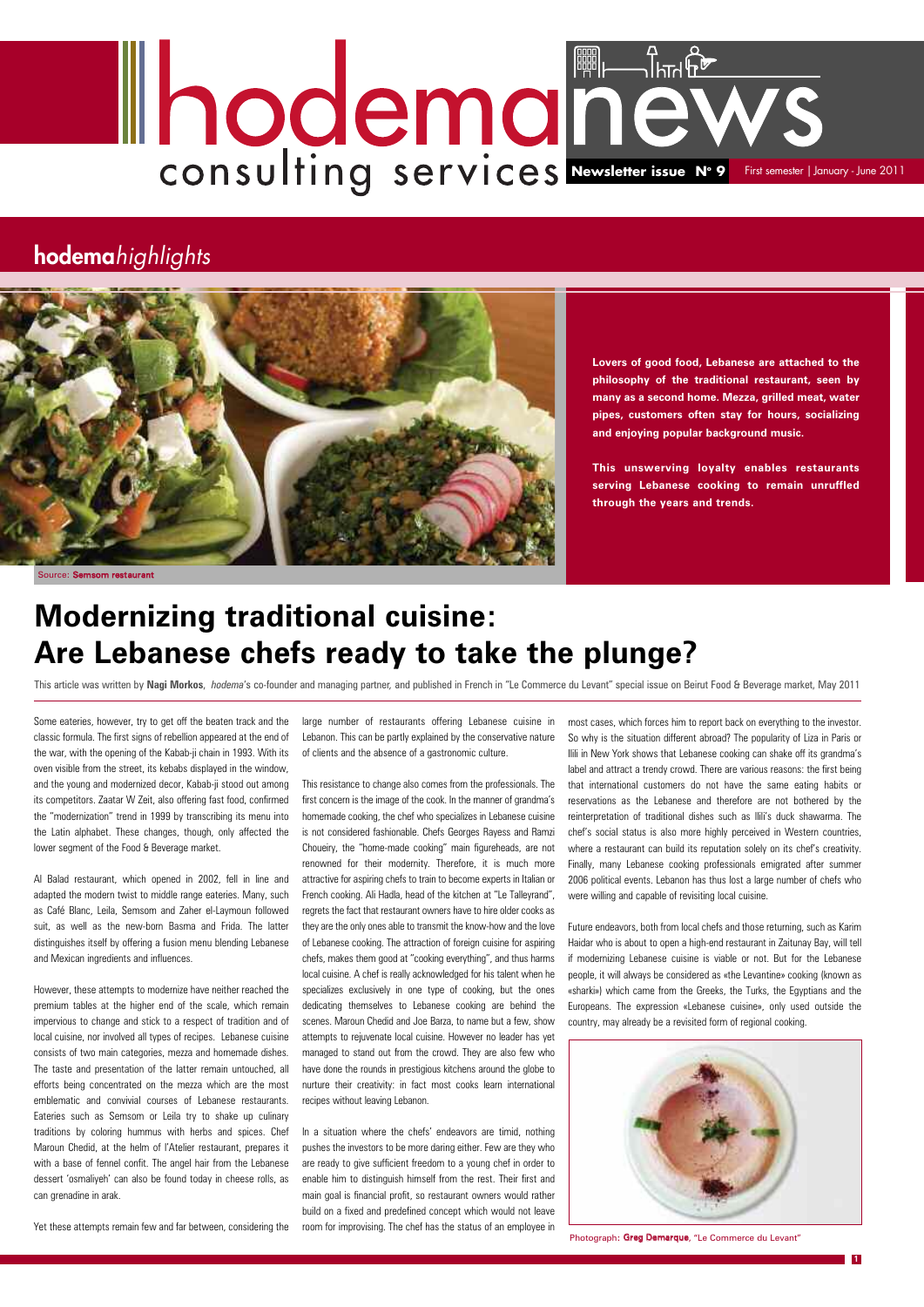**Lovers of good food, Lebanese are attached to the philosophy of the traditional restaurant, seen by many as a second home. Mezza, grilled meat, water pipes, customers often stay for hours, socializing and enjoying popular background music.**

**This unswerving loyalty enables restaurants serving Lebanese cooking to remain unruffled through the years and trends.**

Some eateries, however, try to get off the beaten track and the classic formula. The first signs of rebellion appeared at the end of the war, with the opening of the Kabab-ji chain in 1993. With its oven visible from the street, its kebabs displayed in the window, and the young and modernized decor, Kabab-ji stood out among its competitors. Zaatar W Zeit, also offering fast food, confirmed the "modernization" trend in 1999 by transcribing its menu into the Latin alphabet. These changes, though, only affected the lower segment of the Food & Beverage market.

Al Balad restaurant, which opened in 2002, fell in line and adapted the modern twist to middle range eateries. Many, such as Café Blanc, Leila, Semsom and Zaher el-Laymoun followed suit, as well as the new-born Basma and Frida. The latter distinguishes itself by offering a fusion menu blending Lebanese and Mexican ingredients and influences.

However, these attempts to modernize have neither reached the premium tables at the higher end of the scale, which remain impervious to change and stick to a respect of tradition and of local cuisine, nor involved all types of recipes. Lebanese cuisine consists of two main categories, mezza and homemade dishes. The taste and presentation of the latter remain untouched, all efforts being concentrated on the mezza which are the most emblematic and convivial courses of Lebanese restaurants. Eateries such as Semsom or Leila try to shake up culinary traditions by coloring hummus with herbs and spices. Chef Maroun Chedid, at the helm of l'Atelier restaurant, prepares it with a base of fennel confit. The angel hair from the Lebanese dessert 'osmaliyeh' can also be found today in cheese rolls, as can grenadine in arak.

Yet these attempts remain few and far between, considering the

# **Newsletter issue N° 9** First set First semester | January - June 2011

large number of restaurants offering Lebanese cuisine in Lebanon. This can be partly explained by the conservative nature of clients and the absence of a gastronomic culture.

This resistance to change also comes from the professionals. The first concern is the image of the cook. In the manner of grandma's homemade cooking, the chef who specializes in Lebanese cuisine is not considered fashionable. Chefs Georges Rayess and Ramzi Choueiry, the "home-made cooking" main figureheads, are not renowned for their modernity. Therefore, it is much more attractive for aspiring chefs to train to become experts in Italian or French cooking. Ali Hadla, head of the kitchen at "Le Talleyrand", regrets the fact that restaurant owners have to hire older cooks as they are the only ones able to transmit the know-how and the love of Lebanese cooking. The attraction of foreign cuisine for aspiring chefs, makes them good at "cooking everything", and thus harms local cuisine. A chef is really acknowledged for his talent when he specializes exclusively in one type of cooking, but the ones dedicating themselves to Lebanese cooking are behind the scenes. Maroun Chedid and Joe Barza, to name but a few, show attempts to rejuvenate local cuisine. However no leader has yet managed to stand out from the crowd. They are also few who have done the rounds in prestigious kitchens around the globe to nurture their creativity: in fact most cooks learn international recipes without leaving Lebanon.

In a situation where the chefs' endeavors are timid, nothing pushes the investors to be more daring either. Few are they who are ready to give sufficient freedom to a young chef in order to enable him to distinguish himself from the rest. Their first and main goal is financial profit, so restaurant owners would rather build on a fixed and predefined concept which would not leave room for improvising. The chef has the status of an employee in



## **hodema***highlights*



**1**

## **Modernizing traditional cuisine: Are Lebanese chefs ready to take the plunge?**

This article was written by **Nagi Morkos**, *hodema*'s co-founder and managing partner*,* and published in French in "Le Commerce du Levant" special issue on Beirut Food & Beverage market, May 2011

most cases, which forces him to report back on everything to the investor. So why is the situation different abroad? The popularity of Liza in Paris or Ilili in New York shows that Lebanese cooking can shake off its grandma's label and attract a trendy crowd. There are various reasons: the first being that international customers do not have the same eating habits or reservations as the Lebanese and therefore are not bothered by the reinterpretation of traditional dishes such as Ilili's duck shawarma. The chef's social status is also more highly perceived in Western countries, where a restaurant can build its reputation solely on its chef's creativity. Finally, many Lebanese cooking professionals emigrated after summer 2006 political events. Lebanon has thus lost a large number of chefs who were willing and capable of revisiting local cuisine.

Future endeavors, both from local chefs and those returning, such as Karim Haidar who is about to open a high-end restaurant in Zaitunay Bay, will tell if modernizing Lebanese cuisine is viable or not. But for the Lebanese people, it will always be considered as «the Levantine» cooking (known as «sharki») which came from the Greeks, the Turks, the Egyptians and the Europeans. The expression «Lebanese cuisine», only used outside the country, may already be a revisited form of regional cooking.

Photograph**:** Greg Demarque, "Le Commerce du Levant"

Source: Semsom restaurant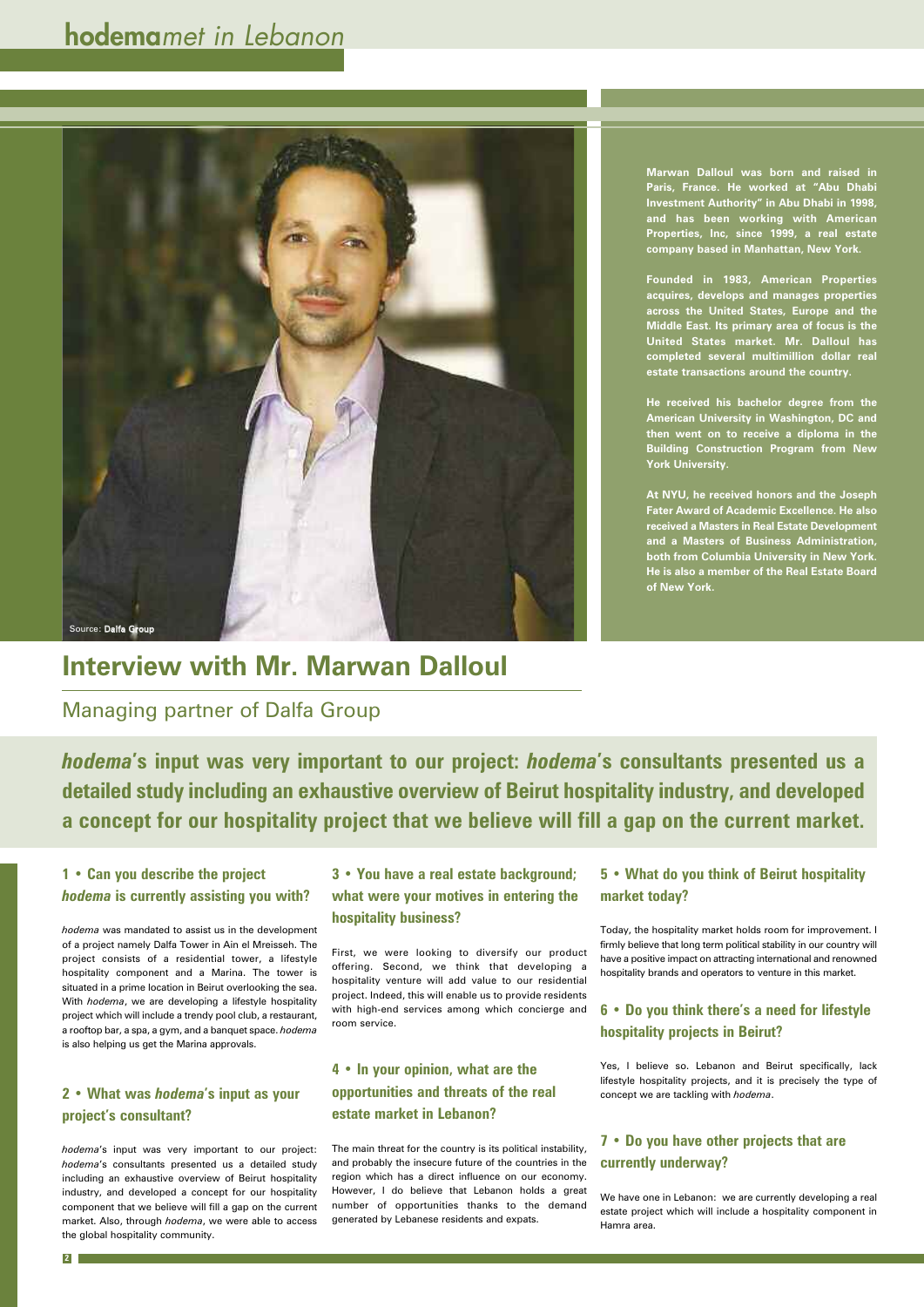**Marwan Dalloul was born and raised in Paris, France. He worked at "Abu Dhabi Investment Authority" in Abu Dhabi in 1998, and has been working with American Properties, Inc, since 1999, a real estate company based in Manhattan, New York.**

**Founded in 1983, American Properties acquires, develops and manages properties across the United States, Europe and the Middle East. Its primary area of focus is the United States market. Mr. Dalloul has completed several multimillion dollar real estate transactions around the country.**

**He received his bachelor degree from the American University in Washington, DC and then went on to receive a diploma in the Building Construction Program from New York University.**

**At NYU, he received honors and the Joseph Fater Award of Academic Excellence. He also received a Masters in Real Estate Development and a Masters of Business Administration, both from Columbia University in New York. He is also a member of the Real Estate Board of New York.**

## **Interview with Mr. Marwan Dalloul**

### Managing partner of Dalfa Group

#### **1 • Can you describe the project** *hodema* **is currently assisting you with?**

*hodema* was mandated to assist us in the development of a project namely Dalfa Tower in Ain el Mreisseh. The project consists of a residential tower, a lifestyle hospitality component and a Marina. The tower is situated in a prime location in Beirut overlooking the sea. With *hodema*, we are developing a lifestyle hospitality project which will include a trendy pool club, a restaurant, a rooftop bar, a spa, a gym, and a banquet space. *hodema* is also helping us get the Marina approvals.

#### **2 • What was** *hodema***'s input as your project's consultant?**

*hodema*'s input was very important to our project: *hodema*'s consultants presented us a detailed study including an exhaustive overview of Beirut hospitality industry, and developed a concept for our hospitality component that we believe will fill a gap on the current market. Also, through *hodema*, we were able to access the global hospitality community.

*hodema***'s input was very important to our project:** *hodema***'s consultants presented us a detailed study including an exhaustive overview of Beirut hospitality industry, and developed a concept for our hospitality project that we believe will fill a gap on the current market.**

**2**

**3 • You have a real estate background; what were your motives in entering the hospitality business?**

First, we were looking to diversify our product offering. Second, we think that developing a hospitality venture will add value to our residential project. Indeed, this will enable us to provide residents with high-end services among which concierge and room service.

#### **4 • In your opinion, what are the opportunities and threats of the real estate market in Lebanon?**

The main threat for the country is its political instability, and probably the insecure future of the countries in the region which has a direct influence on our economy. However, I do believe that Lebanon holds a great number of opportunities thanks to the demand generated by Lebanese residents and expats.

#### **5 • What do you think of Beirut hospitality market today?**

Today, the hospitality market holds room for improvement. I firmly believe that long term political stability in our country will have a positive impact on attracting international and renowned hospitality brands and operators to venture in this market.

**6 • Do you think there's a need for lifestyle hospitality projects in Beirut?**

Yes, I believe so. Lebanon and Beirut specifically, lack lifestyle hospitality projects, and it is precisely the type of concept we are tackling with *hodema*.

**7 • Do you have other projects that are currently underway?**

We have one in Lebanon: we are currently developing a real estate project which will include a hospitality component in Hamra area.

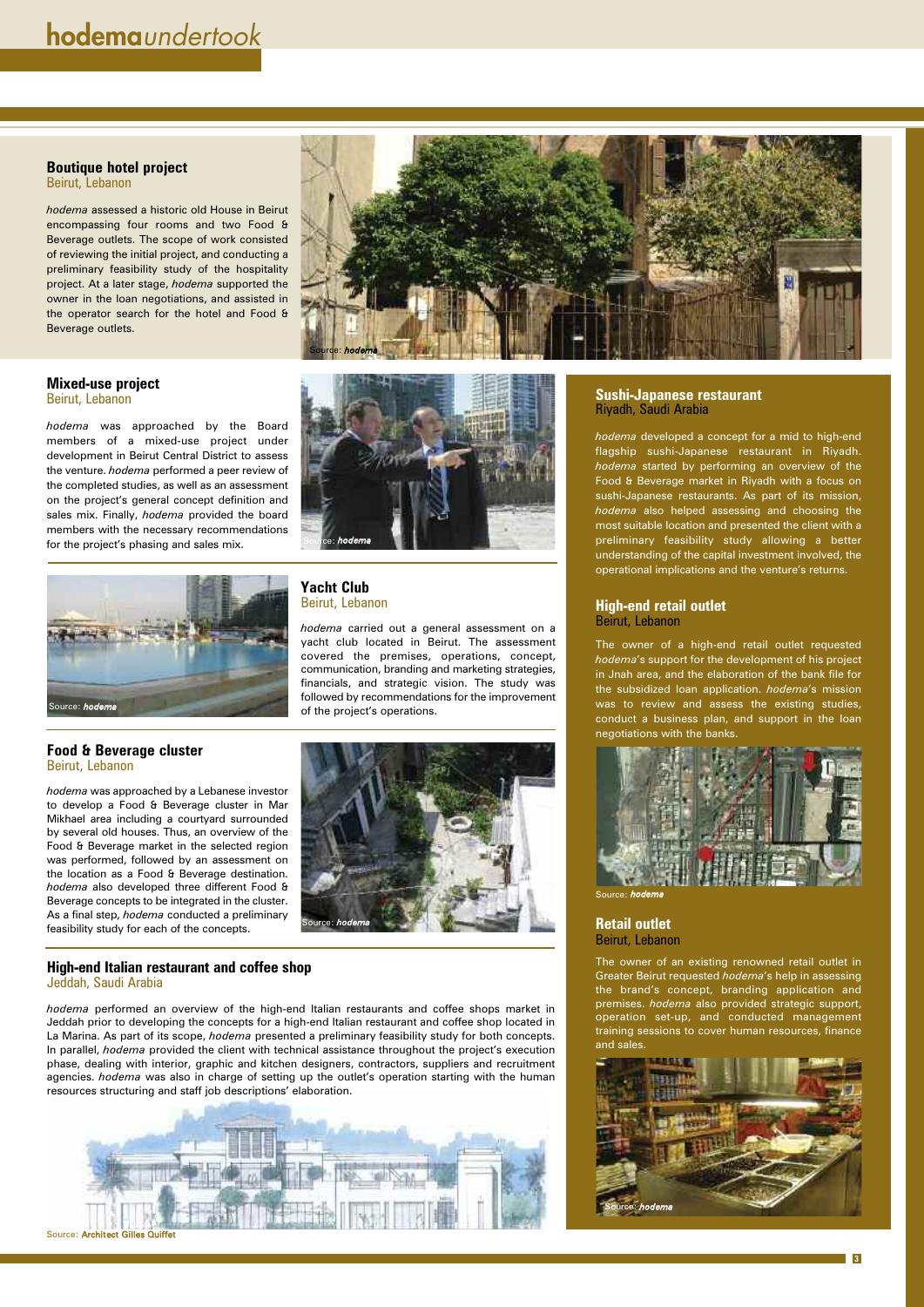#### **Sushi-Japanese restaurant** Riyadh, Saudi Arabia

*hodema* developed a concept for a mid to high-end flagship sushi-Japanese restaurant in Riyadh. *hodema* started by performing an overview of the Food & Beverage market in Riyadh with a focus on sushi-Japanese restaurants. As part of its mission, *hodema* also helped assessing and choosing the most suitable location and presented the client with a preliminary feasibility study allowing a better understanding of the capital investment involved, the operational implications and the venture's returns.

#### **High-end retail outlet** Beirut, Lebanon

The owner of a high-end retail outlet requested *hodema*'s support for the development of his project in Jnah area, and the elaboration of the bank file for the subsidized loan application. *hodema*'s mission was to review and assess the existing studies, conduct a business plan, and support in the loan negotiations with the banks.



#### **Retail outlet** Beirut, Lebanon

The owner of an existing renowned retail outlet in Greater Beirut requested *hodema*'s help in assessing the brand's concept, branding application and premises. *hodema* also provided strategic support, operation set-up, and conducted management training sessions to cover human resources, finance and sales.

#### **Yacht Club** Beirut, Lebanon

*hodema* carried out a general assessment on a yacht club located in Beirut. The assessment covered the premises, operations, concept, communication, branding and marketing strategies, financials, and strategic vision. The study was followed by recommendations for the improvement of the project's operations.

**3**

#### **Mixed-use project** Beirut, Lebanon

*hodema* was approached by the Board members of a mixed-use project under development in Beirut Central District to assess the venture. *hodema* performed a peer review of the completed studies, as well as an assessment on the project's general concept definition and sales mix. Finally, *hodema* provided the board members with the necessary recommendations for the project's phasing and sales mix.

#### **Boutique hotel project**

Beirut, Lebanon

*hodema* assessed a historic old House in Beirut encompassing four rooms and two Food & Beverage outlets. The scope of work consisted of reviewing the initial project, and conducting a preliminary feasibility study of the hospitality project. At a later stage, *hodema* supported the owner in the loan negotiations, and assisted in the operator search for the hotel and Food & Beverage outlets.

#### **Food & Beverage cluster** Beirut, Lebanon

*hodema* was approached by a Lebanese investor to develop a Food & Beverage cluster in Mar Mikhael area including a courtyard surrounded by several old houses. Thus, an overview of the Food & Beverage market in the selected region was performed, followed by an assessment on the location as a Food & Beverage destination. *hodema* also developed three different Food & Beverage concepts to be integrated in the cluster. As a final step, *hodema* conducted a preliminary feasibility study for each of the concepts.

#### **High-end Italian restaurant and coffee shop** Jeddah, Saudi Arabia

*hodema* performed an overview of the high-end Italian restaurants and coffee shops market in Jeddah prior to developing the concepts for a high-end Italian restaurant and coffee shop located in La Marina. As part of its scope, *hodema* presented a preliminary feasibility study for both concepts. In parallel, *hodema* provided the client with technical assistance throughout the project's execution phase, dealing with interior, graphic and kitchen designers, contractors, suppliers and recruitment agencies. *hodema* was also in charge of setting up the outlet's operation starting with the human resources structuring and staff job descriptions' elaboration.











Source: *hodema*



Source: Architect Gilles Quiffet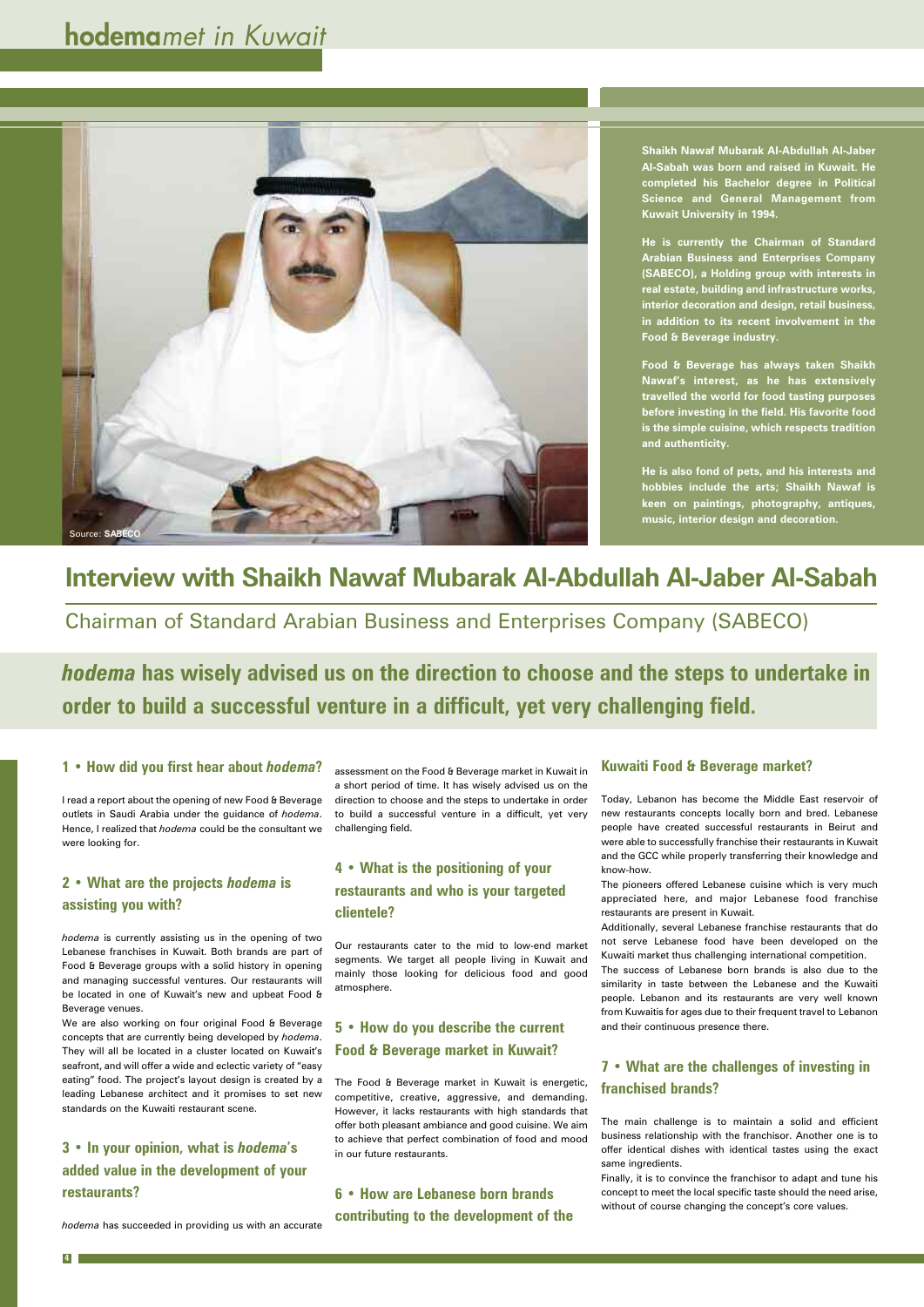## **Interview with Shaikh Nawaf Mubarak Al-Abdullah Al-Jaber Al-Sabah**

Chairman of Standard Arabian Business and Enterprises Company (SABECO)

#### **1 • How did you first hear about** *hodema***?**

I read a report about the opening of new Food & Beverage outlets in Saudi Arabia under the guidance of *hodema*. Hence, I realized that *hodema* could be the consultant we were looking for.

#### **2 • What are the projects** *hodema* **is assisting you with?**

*hodema* is currently assisting us in the opening of two Lebanese franchises in Kuwait. Both brands are part of Food & Beverage groups with a solid history in opening and managing successful ventures. Our restaurants will

be located in one of Kuwait's new and upbeat Food & Beverage venues.

We are also working on four original Food & Beverage concepts that are currently being developed by *hodema*. They will all be located in a cluster located on Kuwait's seafront, and will offer a wide and eclectic variety of "easy eating" food. The project's layout design is created by a leading Lebanese architect and it promises to set new standards on the Kuwaiti restaurant scene.

**3 • In your opinion, what is** *hodema***'s added value in the development of your restaurants?**

*hodema* has succeeded in providing us with an accurate

*hodema* **has wisely advised us on the direction to choose and the steps to undertake in order to build a successful venture in a difficult, yet very challenging field.**

> assessment on the Food & Beverage market in Kuwait in a short period of time. It has wisely advised us on the direction to choose and the steps to undertake in order to build a successful venture in a difficult, yet very challenging field.

#### **4 • What is the positioning of your restaurants and who is your targeted clientele?**

Our restaurants cater to the mid to low-end market segments. We target all people living in Kuwait and mainly those looking for delicious food and good atmosphere.

**5 • How do you describe the current Food & Beverage market in Kuwait?**

The Food & Beverage market in Kuwait is energetic, competitive, creative, aggressive, and demanding. However, it lacks restaurants with high standards that offer both pleasant ambiance and good cuisine. We aim to achieve that perfect combination of food and mood in our future restaurants.

**6 • How are Lebanese born brands contributing to the development of the**



#### **Kuwaiti Food & Beverage market?**

Today, Lebanon has become the Middle East reservoir of new restaurants concepts locally born and bred. Lebanese people have created successful restaurants in Beirut and were able to successfully franchise their restaurants in Kuwait and the GCC while properly transferring their knowledge and know-how.

The pioneers offered Lebanese cuisine which is very much appreciated here, and major Lebanese food franchise restaurants are present in Kuwait.

Additionally, several Lebanese franchise restaurants that do not serve Lebanese food have been developed on the Kuwaiti market thus challenging international competition.

The success of Lebanese born brands is also due to the similarity in taste between the Lebanese and the Kuwaiti people. Lebanon and its restaurants are very well known from Kuwaitis for ages due to their frequent travel to Lebanon and their continuous presence there.

#### **7 • What are the challenges of investing in franchised brands?**

The main challenge is to maintain a solid and efficient business relationship with the franchisor. Another one is to offer identical dishes with identical tastes using the exact same ingredients.

Finally, it is to convince the franchisor to adapt and tune his concept to meet the local specific taste should the need arise, without of course changing the concept's core values.

## **hodema***met in Kuwait*

**4**

**Shaikh Nawaf Mubarak Al-Abdullah Al-Jaber Al-Sabah was born and raised in Kuwait. He completed his Bachelor degree in Political Science and General Management from Kuwait University in 1994.**

**He is currently the Chairman of Standard Arabian Business and Enterprises Company (SABECO), a Holding group with interests in real estate, building and infrastructure works, interior decoration and design, retail business, in addition to its recent involvement in the Food & Beverage industry.**

**Food & Beverage has always taken Shaikh Nawaf's interest, as he has extensively travelled the world for food tasting purposes before investing in the field. His favorite food is the simple cuisine, which respects tradition and authenticity.**

**He is also fond of pets, and his interests and hobbies include the arts; Shaikh Nawaf is keen on paintings, photography, antiques, music, interior design and decoration.**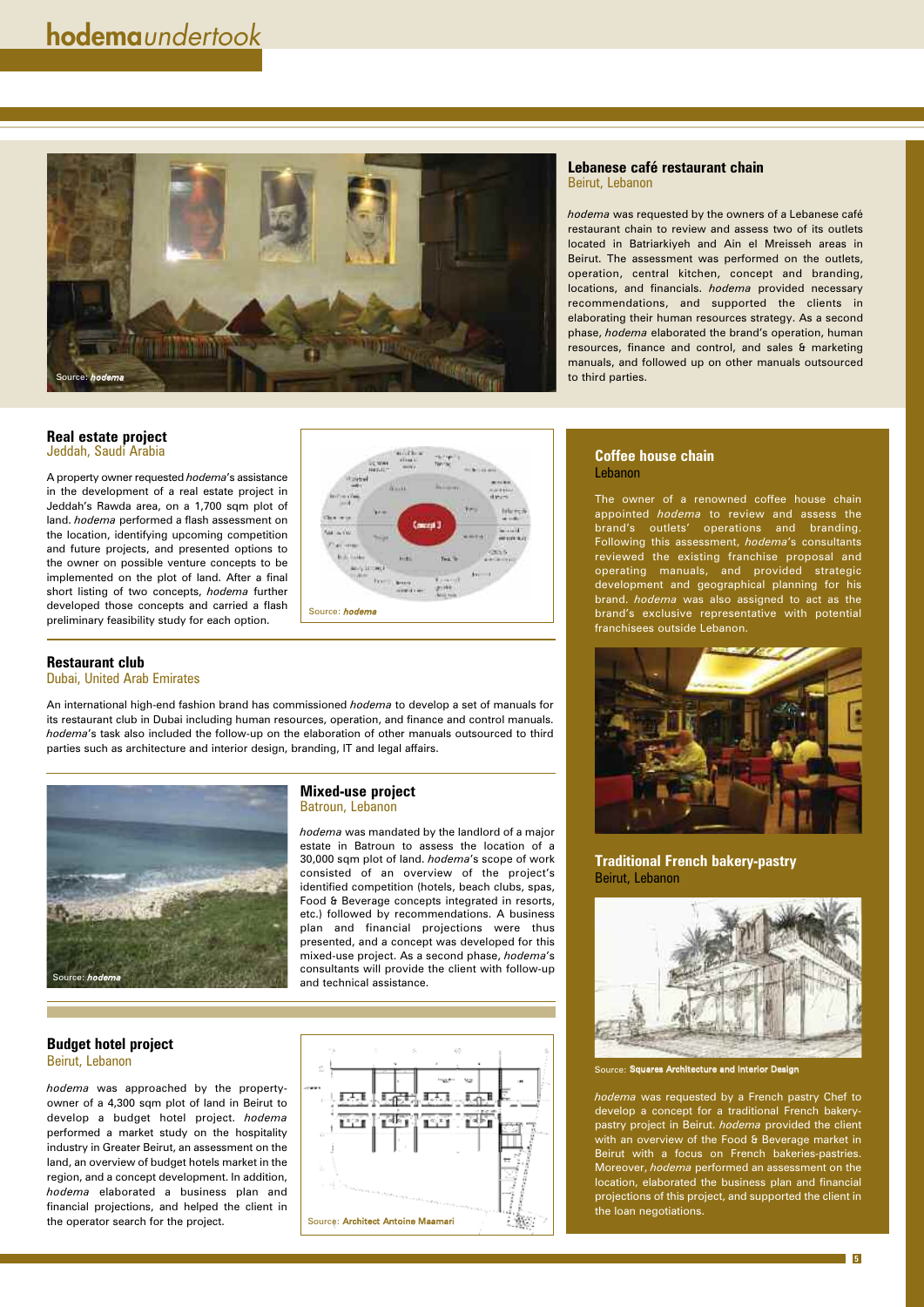#### **Lebanese café restaurant chain** Beirut, Lebanon

*hodema* was requested by the owners of a Lebanese café restaurant chain to review and assess two of its outlets located in Batriarkiyeh and Ain el Mreisseh areas in Beirut. The assessment was performed on the outlets, operation, central kitchen, concept and branding, locations, and financials. *hodema* provided necessary recommendations, and supported the clients in elaborating their human resources strategy. As a second phase, *hodema* elaborated the brand's operation, human resources, finance and control, and sales & marketing manuals, and followed up on other manuals outsourced to third parties.

#### **Coffee house chain** Lebanon

The owner of a renowned coffee house chain appointed *hodema* to review and assess the brand's outlets' operations and branding. Following this assessment, *hodema*'s consultants reviewed the existing franchise proposal and operating manuals, and provided strategic development and geographical planning for his brand. *hodema* was also assigned to act as the brand's exclusive representative with potential franchisees outside Lebanon.



**Traditional French bakery-pastry** Beirut, Lebanon



*hodema* was requested by a French pastry Chef to develop a concept for a traditional French bakerypastry project in Beirut. *hodema* provided the client with an overview of the Food & Beverage market in Beirut with a focus on French bakeries-pastries. Moreover, *hodema* performed an assessment on the location, elaborated the business plan and financial projections of this project, and supported the client in the loan negotiations.

#### **Budget hotel project** Beirut, Lebanon

*hodema* was approached by the propertyowner of a 4,300 sqm plot of land in Beirut to develop a budget hotel project. *hodema* performed a market study on the hospitality industry in Greater Beirut, an assessment on the land, an overview of budget hotels market in the region, and a concept development. In addition, *hodema* elaborated a business plan and financial projections, and helped the client in the operator search for the project.

**5**

#### **Real estate project** Jeddah, Saudi Arabia

A property owner requested *hodema*'s assistance in the development of a real estate project in Jeddah's Rawda area, on a 1,700 sqm plot of land. *hodema* performed a flash assessment on the location, identifying upcoming competition and future projects, and presented options to the owner on possible venture concepts to be implemented on the plot of land. After a final short listing of two concepts, *hodema* further developed those concepts and carried a flash preliminary feasibility study for each option.

#### **Restaurant club** Dubai, United Arab Emirates

An international high-end fashion brand has commissioned *hodema* to develop a set of manuals for its restaurant club in Dubai including human resources, operation, and finance and control manuals. *hodema*'s task also included the follow-up on the elaboration of other manuals outsourced to third parties such as architecture and interior design, branding, IT and legal affairs.

#### **Mixed-use project** Batroun, Lebanon

*hodema* was mandated by the landlord of a major estate in Batroun to assess the location of a 30,000 sqm plot of land. *hodema*'s scope of work consisted of an overview of the project's identified competition (hotels, beach clubs, spas, Food & Beverage concepts integrated in resorts, etc.) followed by recommendations. A business plan and financial projections were thus presented, and a concept was developed for this mixed-use project. As a second phase, *hodema*'s consultants will provide the client with follow-up and technical assistance.









Source: Squares Architecture and Interior Design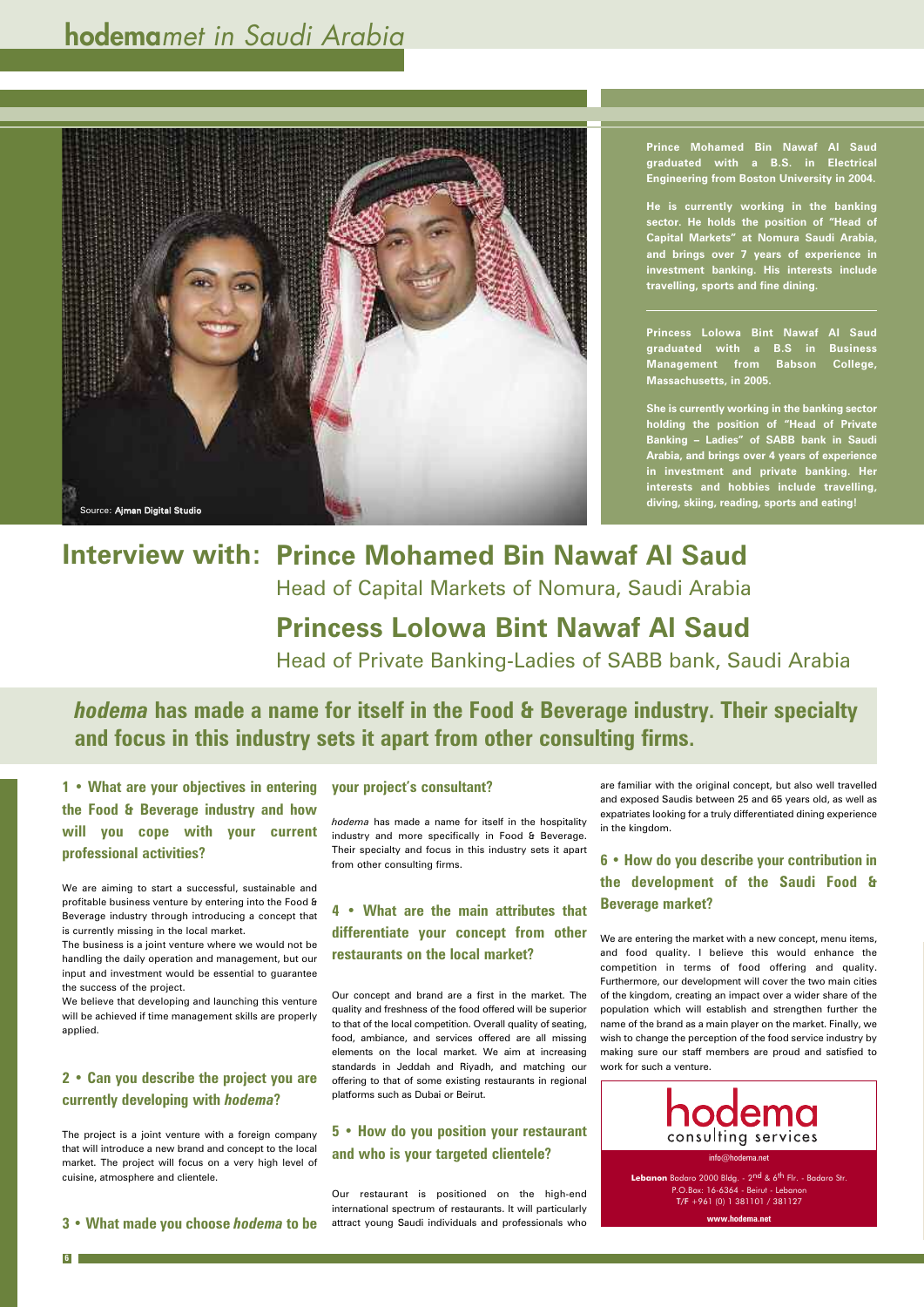**1 • What are your objectives in entering the Food & Beverage industry and how will you cope with your current professional activities?**

We are aiming to start a successful, sustainable and profitable business venture by entering into the Food & Beverage industry through introducing a concept that is currently missing in the local market.

The business is a joint venture where we would not be handling the daily operation and management, but our input and investment would be essential to guarantee

the success of the project.

We believe that developing and launching this venture will be achieved if time management skills are properly applied.

#### **2 • Can you describe the project you are currently developing with** *hodema***?**

The project is a joint venture with a foreign company that will introduce a new brand and concept to the local market. The project will focus on a very high level of cuisine, atmosphere and clientele.

**3 • What made you choose** *hodema* **to be**

## **hodema***met in Saudi Arabia*

*hodema* **has made a name for itself in the Food & Beverage industry. Their specialty and focus in this industry sets it apart from other consulting firms.**

**6**

#### **your project's consultant?**

*hodema* has made a name for itself in the hospitality industry and more specifically in Food & Beverage. Their specialty and focus in this industry sets it apart from other consulting firms.

**4 • What are the main attributes that differentiate your concept from other restaurants on the local market?**

Our concept and brand are a first in the market. The quality and freshness of the food offered will be superior to that of the local competition. Overall quality of seating, food, ambiance, and services offered are all missing elements on the local market. We aim at increasing standards in Jeddah and Riyadh, and matching our offering to that of some existing restaurants in regional platforms such as Dubai or Beirut.

**5 • How do you position your restaurant and who is your targeted clientele?**

## **Interview with: Prince Mohamed Bin Nawaf Al Saud**

Our restaurant is positioned on the high-end international spectrum of restaurants. It will particularly attract young Saudi individuals and professionals who **Prince Mohamed Bin Nawaf Al Saud graduated with a B.S. in Electrical Engineering from Boston University in 2004.**

**He is currently working in the banking sector. He holds the position of "Head of Capital Markets" at Nomura Saudi Arabia, and brings over 7 years of experience in investment banking. His interests include travelling, sports and fine dining.**

**Princess Lolowa Bint Nawaf Al Saud graduated with a B.S in Business Management from Babson College, Massachusetts, in 2005.**

**She is currently working in the banking sector holding the position of "Head of Private Banking – Ladies" of SABB bank in Saudi Arabia, and brings over 4 years of experience in investment and private banking. Her interests and hobbies include travelling, diving, skiing, reading, sports and eating!**

are familiar with the original concept, but also well travelled and exposed Saudis between 25 and 65 years old, as well as expatriates looking for a truly differentiated dining experience in the kingdom.

**6 • How do you describe your contribution in the development of the Saudi Food & Beverage market?**

We are entering the market with a new concept, menu items, and food quality. I believe this would enhance the competition in terms of food offering and quality. Furthermore, our development will cover the two main cities of the kingdom, creating an impact over a wider share of the population which will establish and strengthen further the name of the brand as a main player on the market. Finally, we wish to change the perception of the food service industry by making sure our staff members are proud and satisfied to work for such a venture.





Head of Capital Markets of Nomura, Saudi Arabia

## **Princess Lolowa Bint Nawaf Al Saud**

Head of Private Banking-Ladies of SABB bank, Saudi Arabia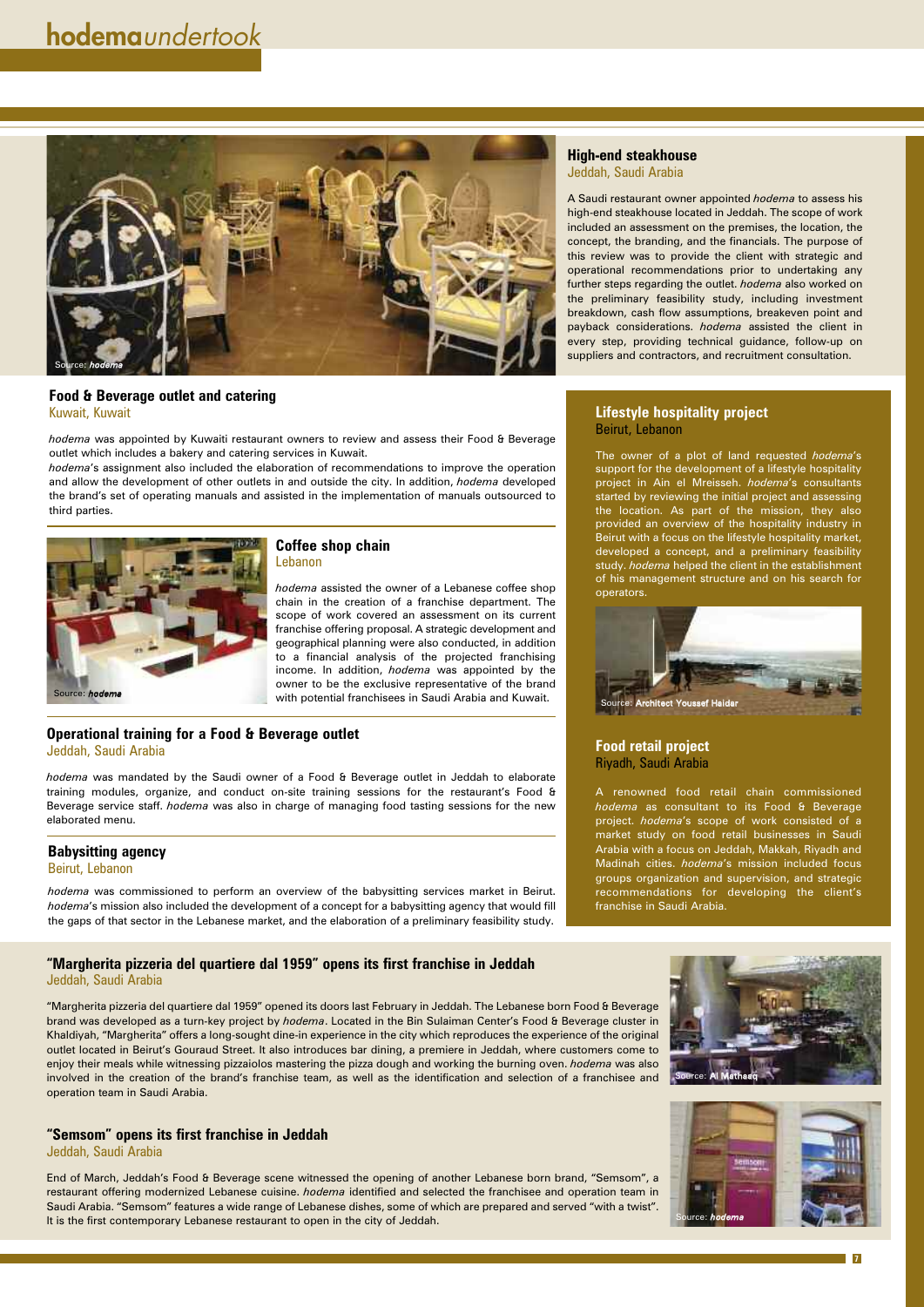#### **Lifestyle hospitality project** Beirut, Lebanon

The owner of a plot of land requested *hodema*'s support for the development of a lifestyle hospitality project in Ain el Mreisseh. *hodema*'s consultants started by reviewing the initial project and assessing the location. As part of the mission, they also provided an overview of the hospitality industry in Beirut with a focus on the lifestyle hospitality market, developed a concept, and a preliminary feasibility study. *hodema* helped the client in the establishment of his management structure and on his search for operators.

#### **Food retail project** Riyadh, Saudi Arabia

A renowned food retail chain commissioned *hodema* as consultant to its Food & Beverage project. *hodema*'s scope of work consisted of a market study on food retail businesses in Saudi Arabia with a focus on Jeddah, Makkah, Riyadh and Madinah cities. *hodema*'s mission included focus groups organization and supervision, and strategic recommendations for developing the client's franchise in Saudi Arabia.

**7**

#### **High-end steakhouse** Jeddah, Saudi Arabia

A Saudi restaurant owner appointed *hodema* to assess his high-end steakhouse located in Jeddah. The scope of work included an assessment on the premises, the location, the concept, the branding, and the financials. The purpose of this review was to provide the client with strategic and operational recommendations prior to undertaking any further steps regarding the outlet. *hodema* also worked on the preliminary feasibility study, including investment breakdown, cash flow assumptions, breakeven point and payback considerations. *hodema* assisted the client in every step, providing technical guidance, follow-up on suppliers and contractors, and recruitment consultation.

**"Margherita pizzeria del quartiere dal 1959" opens its first franchise in Jeddah** Jeddah, Saudi Arabia

"Margherita pizzeria del quartiere dal 1959" opened its doors last February in Jeddah. The Lebanese born Food & Beverage brand was developed as a turn-key project by *hodema*. Located in the Bin Sulaiman Center's Food & Beverage cluster in Khaldiyah, "Margherita" offers a long-sought dine-in experience in the city which reproduces the experience of the original outlet located in Beirut's Gouraud Street. It also introduces bar dining, a premiere in Jeddah, where customers come to enjoy their meals while witnessing pizzaiolos mastering the pizza dough and working the burning oven. *hodema* was also involved in the creation of the brand's franchise team, as well as the identification and selection of a franchisee and operation team in Saudi Arabia.

#### **"Semsom" opens its first franchise in Jeddah** Jeddah, Saudi Arabia

End of March, Jeddah's Food & Beverage scene witnessed the opening of another Lebanese born brand, "Semsom", a restaurant offering modernized Lebanese cuisine. *hodema* identified and selected the franchisee and operation team in Saudi Arabia. "Semsom" features a wide range of Lebanese dishes, some of which are prepared and served "with a twist". It is the first contemporary Lebanese restaurant to open in the city of Jeddah.



#### **Food & Beverage outlet and catering** Kuwait, Kuwait

*hodema* was appointed by Kuwaiti restaurant owners to review and assess their Food & Beverage outlet which includes a bakery and catering services in Kuwait.

*hodema*'s assignment also included the elaboration of recommendations to improve the operation and allow the development of other outlets in and outside the city. In addition, *hodema* developed the brand's set of operating manuals and assisted in the implementation of manuals outsourced to third parties.

#### **Coffee shop chain** Lebanon

*hodema* assisted the owner of a Lebanese coffee shop chain in the creation of a franchise department. The scope of work covered an assessment on its current franchise offering proposal. A strategic development and geographical planning were also conducted, in addition to a financial analysis of the projected franchising income. In addition, *hodema* was appointed by the owner to be the exclusive representative of the brand with potential franchisees in Saudi Arabia and Kuwait.

#### **Operational training for a Food & Beverage outlet** Jeddah, Saudi Arabia

*hodema* was mandated by the Saudi owner of a Food & Beverage outlet in Jeddah to elaborate training modules, organize, and conduct on-site training sessions for the restaurant's Food & Beverage service staff. *hodema* was also in charge of managing food tasting sessions for the new elaborated menu.

#### **Babysitting agency** Beirut, Lebanon

*hodema* was commissioned to perform an overview of the babysitting services market in Beirut. *hodema*'s mission also included the development of a concept for a babysitting agency that would fill the gaps of that sector in the Lebanese market, and the elaboration of a preliminary feasibility study.







Source: *hodema*